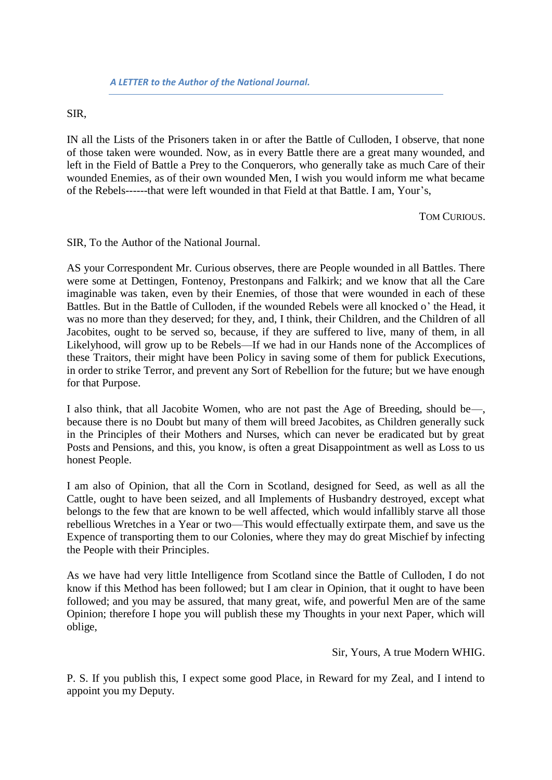SIR,

IN all the Lists of the Prisoners taken in or after the Battle of Culloden, I observe, that none of those taken were wounded. Now, as in every Battle there are a great many wounded, and left in the Field of Battle a Prey to the Conquerors, who generally take as much Care of their wounded Enemies, as of their own wounded Men, I wish you would inform me what became of the Rebels------that were left wounded in that Field at that Battle. I am, Your's,

TOM CURIOUS.

SIR, To the Author of the National Journal.

AS your Correspondent Mr. Curious observes, there are People wounded in all Battles. There were some at Dettingen, Fontenoy, Prestonpans and Falkirk; and we know that all the Care imaginable was taken, even by their Enemies, of those that were wounded in each of these Battles. But in the Battle of Culloden, if the wounded Rebels were all knocked o' the Head, it was no more than they deserved; for they, and, I think, their Children, and the Children of all Jacobites, ought to be served so, because, if they are suffered to live, many of them, in all Likelyhood, will grow up to be Rebels—If we had in our Hands none of the Accomplices of these Traitors, their might have been Policy in saving some of them for publick Executions, in order to strike Terror, and prevent any Sort of Rebellion for the future; but we have enough for that Purpose.

I also think, that all Jacobite Women, who are not past the Age of Breeding, should be—, because there is no Doubt but many of them will breed Jacobites, as Children generally suck in the Principles of their Mothers and Nurses, which can never be eradicated but by great Posts and Pensions, and this, you know, is often a great Disappointment as well as Loss to us honest People.

I am also of Opinion, that all the Corn in Scotland, designed for Seed, as well as all the Cattle, ought to have been seized, and all Implements of Husbandry destroyed, except what belongs to the few that are known to be well affected, which would infallibly starve all those rebellious Wretches in a Year or two—This would effectually extirpate them, and save us the Expence of transporting them to our Colonies, where they may do great Mischief by infecting the People with their Principles.

As we have had very little Intelligence from Scotland since the Battle of Culloden, I do not know if this Method has been followed; but I am clear in Opinion, that it ought to have been followed; and you may be assured, that many great, wife, and powerful Men are of the same Opinion; therefore I hope you will publish these my Thoughts in your next Paper, which will oblige,

Sir, Yours, A true Modern WHIG.

P. S. If you publish this, I expect some good Place, in Reward for my Zeal, and I intend to appoint you my Deputy.